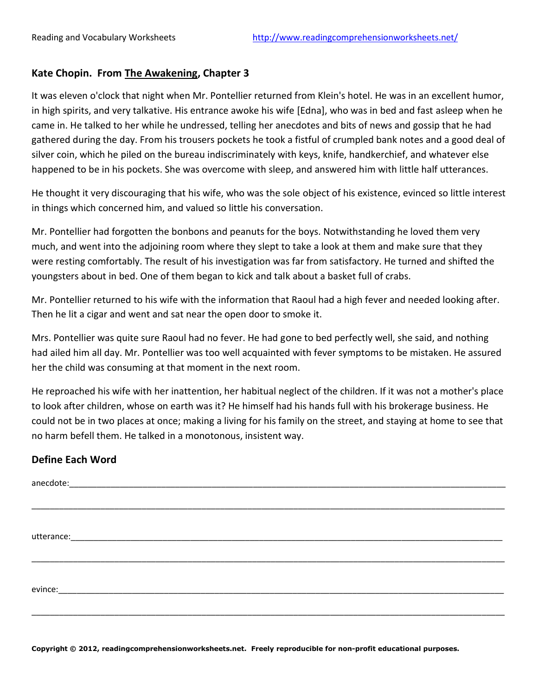## **Kate Chopin. From The Awakening, Chapter 3**

It was eleven o'clock that night when Mr. Pontellier returned from Klein's hotel. He was in an excellent humor, in high spirits, and very talkative. His entrance awoke his wife [Edna], who was in bed and fast asleep when he came in. He talked to her while he undressed, telling her anecdotes and bits of news and gossip that he had gathered during the day. From his trousers pockets he took a fistful of crumpled bank notes and a good deal of silver coin, which he piled on the bureau indiscriminately with keys, knife, handkerchief, and whatever else happened to be in his pockets. She was overcome with sleep, and answered him with little half utterances.

He thought it very discouraging that his wife, who was the sole object of his existence, evinced so little interest in things which concerned him, and valued so little his conversation.

Mr. Pontellier had forgotten the bonbons and peanuts for the boys. Notwithstanding he loved them very much, and went into the adjoining room where they slept to take a look at them and make sure that they were resting comfortably. The result of his investigation was far from satisfactory. He turned and shifted the youngsters about in bed. One of them began to kick and talk about a basket full of crabs.

Mr. Pontellier returned to his wife with the information that Raoul had a high fever and needed looking after. Then he lit a cigar and went and sat near the open door to smoke it.

Mrs. Pontellier was quite sure Raoul had no fever. He had gone to bed perfectly well, she said, and nothing had ailed him all day. Mr. Pontellier was too well acquainted with fever symptoms to be mistaken. He assured her the child was consuming at that moment in the next room.

He reproached his wife with her inattention, her habitual neglect of the children. If it was not a mother's place to look after children, whose on earth was it? He himself had his hands full with his brokerage business. He could not be in two places at once; making a living for his family on the street, and staying at home to see that no harm befell them. He talked in a monotonous, insistent way.

## **Define Each Word**

**Copyright © 2012, readingcomprehensionworksheets.net. Freely reproducible for non-profit educational purposes.**